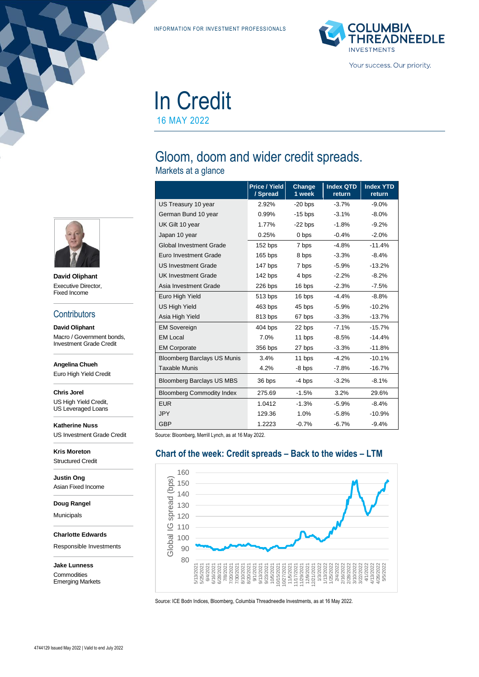INFORMATION FOR INVESTMENT PROFESSIONALS



In Credit 16 MAY 2022

# Gloom, doom and wider credit spreads.

Markets at a glance

|                                    | Price / Yield<br>/ Spread | Change<br>1 week | <b>Index QTD</b><br>return | <b>Index YTD</b><br>return |
|------------------------------------|---------------------------|------------------|----------------------------|----------------------------|
| US Treasury 10 year                | 2.92%                     | $-20$ bps        | $-3.7%$                    | $-9.0%$                    |
| German Bund 10 year                | 0.99%                     | $-15$ bps        | $-3.1%$                    | $-8.0%$                    |
| UK Gilt 10 year                    | 1.77%                     | $-22$ bps        | $-1.8%$                    | $-9.2%$                    |
| Japan 10 year                      | 0.25%                     | 0 bps            | $-0.4%$                    | $-2.0%$                    |
| <b>Global Investment Grade</b>     | 152 bps                   | 7 bps            | $-4.8%$                    | $-11.4%$                   |
| Euro Investment Grade              | $165$ bps                 | 8 bps            | $-3.3%$                    | $-8.4%$                    |
| <b>US Investment Grade</b>         | 147 bps                   | 7 bps            | $-5.9%$                    | $-13.2%$                   |
| <b>UK Investment Grade</b>         | 142 bps                   | 4 bps            | $-2.2%$                    | $-8.2%$                    |
| Asia Investment Grade              | 226 bps                   | 16 bps           | $-2.3%$                    | $-7.5%$                    |
| Euro High Yield                    | 513 bps                   | 16 bps           | $-4.4%$                    | $-8.8%$                    |
| <b>US High Yield</b>               | 463 bps                   | 45 bps           | $-5.9%$                    | $-10.2%$                   |
| Asia High Yield                    | 813 bps                   | 67 bps           | $-3.3%$                    | $-13.7%$                   |
| <b>EM Sovereign</b>                | $404$ bps                 | 22 bps           | $-7.1%$                    | $-15.7%$                   |
| <b>EM Local</b>                    | 7.0%                      | 11 bps           | $-8.5%$                    | $-14.4%$                   |
| <b>EM Corporate</b>                | 356 bps                   | 27 bps           | $-3.3%$                    | $-11.8%$                   |
| <b>Bloomberg Barclays US Munis</b> | 3.4%                      | 11 bps           | $-4.2%$                    | $-10.1%$                   |
| <b>Taxable Munis</b>               | 4.2%                      | $-8$ bps         | $-7.8%$                    | $-16.7%$                   |
| <b>Bloomberg Barclays US MBS</b>   | 36 bps                    | $-4$ bps         | $-3.2%$                    | $-8.1%$                    |
| <b>Bloomberg Commodity Index</b>   | 275.69                    | $-1.5%$          | 3.2%                       | 29.6%                      |
| <b>EUR</b>                         | 1.0412                    | $-1.3%$          | $-5.9\%$                   | $-8.4%$                    |
| <b>JPY</b>                         | 129.36                    | 1.0%             | $-5.8%$                    | $-10.9%$                   |
| <b>GBP</b>                         | 1.2223                    | $-0.7%$          | $-6.7%$                    | $-9.4%$                    |

Source: Bloomberg, Merrill Lynch, as at 16 May 2022.

# **Chart of the week: Credit spreads – Back to the wides – LTM**



Source: ICE Bodn Indices, Bloomberg, Columbia Threadneedle Investments, as at 16 May 2022.



**David Oliphant** Executive Director, Fixed Income

## **Contributors**

**David Oliphant** Macro / Government bonds, Investment Grade Credit

**Angelina Chueh**

Euro High Yield Credit

**Chris Jorel** US High Yield Credit,

US Leveraged Loans

**Katherine Nuss** US Investment Grade Credit

**Kris Moreton** Structured Credit

**Justin Ong** Asian Fixed Income

**Doug Rangel**

Municipals

**Charlotte Edwards**

Responsible Investments

**Jake Lunness Commodities** Emerging Markets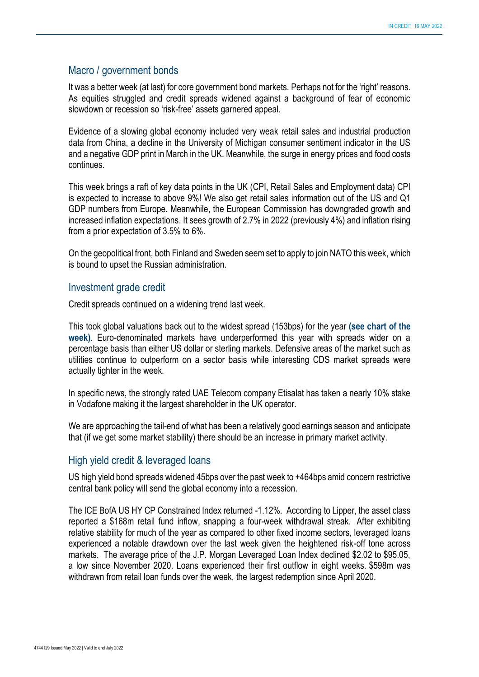# Macro / government bonds

It was a better week (at last) for core government bond markets. Perhaps not for the 'right' reasons. As equities struggled and credit spreads widened against a background of fear of economic slowdown or recession so 'risk-free' assets garnered appeal.

Evidence of a slowing global economy included very weak retail sales and industrial production data from China, a decline in the University of Michigan consumer sentiment indicator in the US and a negative GDP print in March in the UK. Meanwhile, the surge in energy prices and food costs continues.

This week brings a raft of key data points in the UK (CPI, Retail Sales and Employment data) CPI is expected to increase to above 9%! We also get retail sales information out of the US and Q1 GDP numbers from Europe. Meanwhile, the European Commission has downgraded growth and increased inflation expectations. It sees growth of 2.7% in 2022 (previously 4%) and inflation rising from a prior expectation of 3.5% to 6%.

On the geopolitical front, both Finland and Sweden seem set to apply to join NATO this week, which is bound to upset the Russian administration.

## Investment grade credit

Credit spreads continued on a widening trend last week.

This took global valuations back out to the widest spread (153bps) for the year **(see chart of the week)**. Euro-denominated markets have underperformed this year with spreads wider on a percentage basis than either US dollar or sterling markets. Defensive areas of the market such as utilities continue to outperform on a sector basis while interesting CDS market spreads were actually tighter in the week.

In specific news, the strongly rated UAE Telecom company Etisalat has taken a nearly 10% stake in Vodafone making it the largest shareholder in the UK operator.

We are approaching the tail-end of what has been a relatively good earnings season and anticipate that (if we get some market stability) there should be an increase in primary market activity.

# High yield credit & leveraged loans

US high yield bond spreads widened 45bps over the past week to +464bps amid concern restrictive central bank policy will send the global economy into a recession.

The ICE BofA US HY CP Constrained Index returned -1.12%. According to Lipper, the asset class reported a \$168m retail fund inflow, snapping a four-week withdrawal streak. After exhibiting relative stability for much of the year as compared to other fixed income sectors, leveraged loans experienced a notable drawdown over the last week given the heightened risk-off tone across markets. The average price of the J.P. Morgan Leveraged Loan Index declined \$2.02 to \$95.05, a low since November 2020. Loans experienced their first outflow in eight weeks. \$598m was withdrawn from retail loan funds over the week, the largest redemption since April 2020.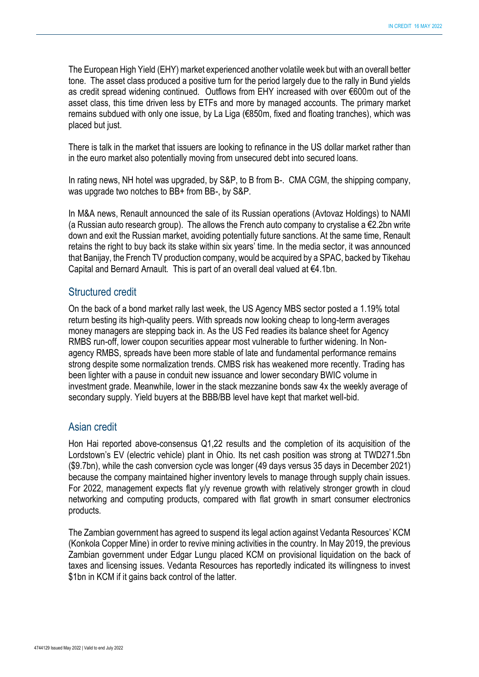The European High Yield (EHY) market experienced another volatile week but with an overall better tone. The asset class produced a positive turn for the period largely due to the rally in Bund yields as credit spread widening continued. Outflows from EHY increased with over €600m out of the asset class, this time driven less by ETFs and more by managed accounts. The primary market remains subdued with only one issue, by La Liga (€850m, fixed and floating tranches), which was placed but just.

There is talk in the market that issuers are looking to refinance in the US dollar market rather than in the euro market also potentially moving from unsecured debt into secured loans.

In rating news, NH hotel was upgraded, by S&P, to B from B-. CMA CGM, the shipping company, was upgrade two notches to BB+ from BB-, by S&P.

In M&A news, Renault announced the sale of its Russian operations (Avtovaz Holdings) to NAMI (a Russian auto research group). The allows the French auto company to crystalise a €2.2bn write down and exit the Russian market, avoiding potentially future sanctions. At the same time, Renault retains the right to buy back its stake within six years' time. In the media sector, it was announced that Banijay, the French TV production company, would be acquired by a SPAC, backed by Tikehau Capital and Bernard Arnault. This is part of an overall deal valued at €4.1bn.

# Structured credit

On the back of a bond market rally last week, the US Agency MBS sector posted a 1.19% total return besting its high-quality peers. With spreads now looking cheap to long-term averages money managers are stepping back in. As the US Fed readies its balance sheet for Agency RMBS run-off, lower coupon securities appear most vulnerable to further widening. In Nonagency RMBS, spreads have been more stable of late and fundamental performance remains strong despite some normalization trends. CMBS risk has weakened more recently. Trading has been lighter with a pause in conduit new issuance and lower secondary BWIC volume in investment grade. Meanwhile, lower in the stack mezzanine bonds saw 4x the weekly average of secondary supply. Yield buyers at the BBB/BB level have kept that market well-bid.

# Asian credit

Hon Hai reported above-consensus Q1,22 results and the completion of its acquisition of the Lordstown's EV (electric vehicle) plant in Ohio. Its net cash position was strong at TWD271.5bn (\$9.7bn), while the cash conversion cycle was longer (49 days versus 35 days in December 2021) because the company maintained higher inventory levels to manage through supply chain issues. For 2022, management expects flat y/y revenue growth with relatively stronger growth in cloud networking and computing products, compared with flat growth in smart consumer electronics products.

The Zambian government has agreed to suspend its legal action against Vedanta Resources' KCM (Konkola Copper Mine) in order to revive mining activities in the country. In May 2019, the previous Zambian government under Edgar Lungu placed KCM on provisional liquidation on the back of taxes and licensing issues. Vedanta Resources has reportedly indicated its willingness to invest \$1bn in KCM if it gains back control of the latter.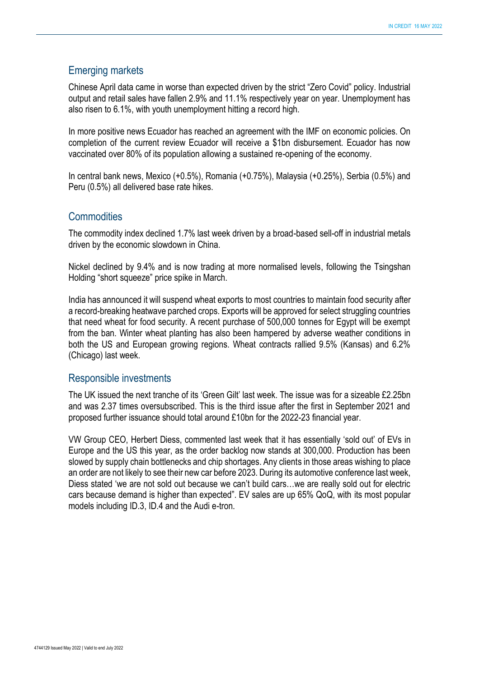# Emerging markets

Chinese April data came in worse than expected driven by the strict "Zero Covid" policy. Industrial output and retail sales have fallen 2.9% and 11.1% respectively year on year. Unemployment has also risen to 6.1%, with youth unemployment hitting a record high.

In more positive news Ecuador has reached an agreement with the IMF on economic policies. On completion of the current review Ecuador will receive a \$1bn disbursement. Ecuador has now vaccinated over 80% of its population allowing a sustained re-opening of the economy.

In central bank news, Mexico (+0.5%), Romania (+0.75%), Malaysia (+0.25%), Serbia (0.5%) and Peru (0.5%) all delivered base rate hikes.

# **Commodities**

The commodity index declined 1.7% last week driven by a broad-based sell-off in industrial metals driven by the economic slowdown in China.

Nickel declined by 9.4% and is now trading at more normalised levels, following the Tsingshan Holding "short squeeze" price spike in March.

India has announced it will suspend wheat exports to most countries to maintain food security after a record-breaking heatwave parched crops. Exports will be approved for select struggling countries that need wheat for food security. A recent purchase of 500,000 tonnes for Egypt will be exempt from the ban. Winter wheat planting has also been hampered by adverse weather conditions in both the US and European growing regions. Wheat contracts rallied 9.5% (Kansas) and 6.2% (Chicago) last week.

# Responsible investments

The UK issued the next tranche of its 'Green Gilt' last week. The issue was for a sizeable £2.25bn and was 2.37 times oversubscribed. This is the third issue after the first in September 2021 and proposed further issuance should total around £10bn for the 2022-23 financial year.

VW Group CEO, Herbert Diess, commented last week that it has essentially 'sold out' of EVs in Europe and the US this year, as the order backlog now stands at 300,000. Production has been slowed by supply chain bottlenecks and chip shortages. Any clients in those areas wishing to place an order are not likely to see their new car before 2023. During its automotive conference last week, Diess stated 'we are not sold out because we can't build cars…we are really sold out for electric cars because demand is higher than expected". EV sales are up 65% QoQ, with its most popular models including ID.3, ID.4 and the Audi e-tron.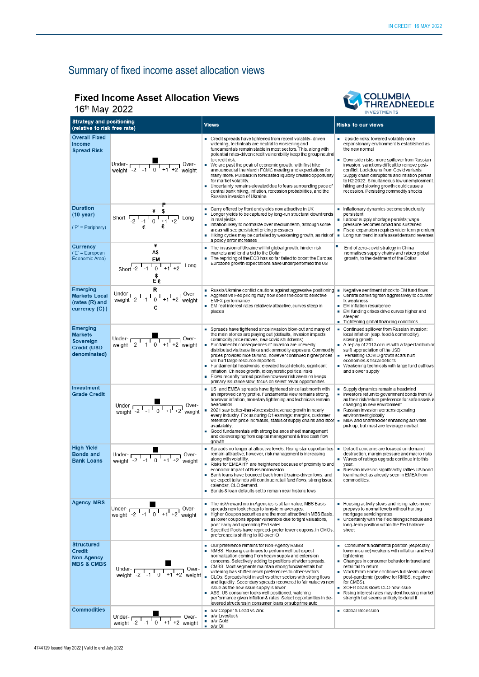# Summary of fixed income asset allocation views

# **Fixed Income Asset Allocation Views**



16th May 2022

| TO MAY ZUZZ                                                            |                                                                                                                                                                                                                                                 |                                                                                                                                                                                                                                                                                                                                                                                                                                                                                                                                                                                                                                                                                                                   | <b>INVESTMENTS</b>                                                                                                                                                                                                                                                                                                                                                                                                                          |
|------------------------------------------------------------------------|-------------------------------------------------------------------------------------------------------------------------------------------------------------------------------------------------------------------------------------------------|-------------------------------------------------------------------------------------------------------------------------------------------------------------------------------------------------------------------------------------------------------------------------------------------------------------------------------------------------------------------------------------------------------------------------------------------------------------------------------------------------------------------------------------------------------------------------------------------------------------------------------------------------------------------------------------------------------------------|---------------------------------------------------------------------------------------------------------------------------------------------------------------------------------------------------------------------------------------------------------------------------------------------------------------------------------------------------------------------------------------------------------------------------------------------|
| <b>Strategy and positioning</b><br>(relative to risk free rate)        |                                                                                                                                                                                                                                                 | <b>Views</b>                                                                                                                                                                                                                                                                                                                                                                                                                                                                                                                                                                                                                                                                                                      | <b>Risks to our views</b>                                                                                                                                                                                                                                                                                                                                                                                                                   |
| <b>Overall Fixed</b><br>Income<br><b>Spread Risk</b>                   | Under-<br>weight $-2$ $-1$ $0$ $+1$ $+2$ weight                                                                                                                                                                                                 | • Credit spreads have tightened from recent volatility-driven<br>widening, technicals are neutral to worsening and<br>fundamentals remain stable in most sectors. This, along with<br>potential rates-driven credit vulnerability keep the group neutral<br>to credit risk.<br>We are past the peak of economic growth, with first hike<br>announced at the March FOMC meeting and expectations for<br>many more. Pullback in forecasted liquidity created opportunity<br>for market volatility.<br>Uncertainty remains elevated due to fears surrounding pace of<br>central bank hiking, inflation, recession probabilities, and the<br>Russian invasion of Ukraine.                                             | Upside risks: lowered volatility once<br>expansionary environment is established as<br>the new normal<br>Downside risks: more spillover from Russian<br>invasion, sanctions difficult to remove post-<br>conflict. Lockdowns from Covid variants.<br>Supply chain disruptions and inflation persist<br>to H2 2022. Simultaneous low unemployment,<br>hiking and slowing growth could cause a<br>recession. Persisting commodity shocks      |
| Duration<br>$(10-year)$<br>('P' = Periphery)                           | Short $\frac{4}{2}$ $\frac{1}{4}$ $\frac{1}{1}$ $\frac{1}{2}$ $\frac{1}{4}$ $\frac{1}{2}$ $\frac{1}{2}$ Long                                                                                                                                    | Carry offered by front end yields now attractive in UK<br>Longer yields to be captured by long-run structural downtrends<br>in real yields<br>Inflation likely to normalize over medium term, although some<br>areas will see persistent pricing pressures<br>Hiking cycles may be curtailed by weakening growth, as risk of<br>×<br>a policy error increases                                                                                                                                                                                                                                                                                                                                                     | Inflationary dynamics become structurally<br>persistent<br>Labour supply shortage persists; wage<br>pressure becomes broad and sustained<br>Fiscal expansion requires wider term premium<br>٠<br>Long run trend in safe asset demand reverses                                                                                                                                                                                               |
| Currency<br>('E' = European<br>Economic Area)                          | ¥<br>A\$<br>EM<br>Short -2 $-1$ $0$ $+1$ $+2$ Long<br>$\frac{3}{5}$                                                                                                                                                                             | The invasion of Ukraine will hit global growth, hinder risk<br>markets and lend a bid to the Dollar<br>The repricing of the ECB has so far failed to boost the Euro as<br>Eurozone growth expectations have underperformed the US                                                                                                                                                                                                                                                                                                                                                                                                                                                                                 | п<br>End of zero-covid strategy in China<br>normalises supply chains and raises global<br>growth, to the detriment of the Dollar                                                                                                                                                                                                                                                                                                            |
| Emerging<br><b>Markets Local</b><br>(rates (R) and<br>currency (C))    | R<br>Under- $\overline{C_1C_2C_3C_4C_5C_6C_7C_8C_7C_8C_7C_8C_7C_8C_7C_8C_7C_8C_7C_8C_8C_7C_8C_7C_8C_7C_8C_7C_8C_7C_8C_7C_8C_7C_8C_7C_8C_7C_8C_7C_8C_7C_8C_7C_8C_7C_8C_7C_8C_7C_8C_7C_8C_7C_8C_7C_8C_7C_8C_7C_8C_7C_8C_7C_8C_7C_8C_7C_8C_7$<br>c | Russia/Ukraine conflict cautions against aggressive positioning<br>Aggressive Fed pricing may now open the door to selective<br>EMFX performance<br>EM real interest rates relatively attractive, curves steep in<br>places                                                                                                                                                                                                                                                                                                                                                                                                                                                                                       | $\blacksquare$ Negative sentiment shock to EM fund flows<br>■ Central banks tighten aggressively to counter<br>fx weakness<br>• EM inflation resurgence<br>• EM funding crises drive curves higher and<br>steeper<br>Tightening global financing conditions                                                                                                                                                                                 |
| Emerging<br><b>Markets</b><br>Sovereign<br>Credit (USD<br>denominated) |                                                                                                                                                                                                                                                 | ■ Spreads have tightened since invasion blow-out and many of<br>the main stories are playing out (defaults, invasion impacts,<br>commodity price moves, new covid shutdowns)<br>Fundamental consequences of invasion are unevenly<br>distributed via trade links and commodity exposure. Commodity<br>prices provided nice tailwind, however continued higher prices<br>will hurt large resource importers.<br>Fundamental headwinds: elevated fiscal deficits, significant<br>×<br>inflation, Chinese growth, idiosyncratic political risks<br>Flows recently turned positive however risk aversion keeps<br>primary issuance slow; focus on select relval opportunities                                         | Continued spillover from Russian invasion:<br>local inflation (esp. food & commodity),<br>slowing growth<br>A replay of 2013 occurs with a taper tantrum or<br>swift appreciation of the USD<br>Persisting COVID growth scars hurt<br>×<br>economies & fiscal deficits<br>■ Weakening technicals with large fund outflows<br>and slower supply                                                                                              |
| <b>Investment</b><br><b>Grade Credit</b>                               | Under- $\frac{1}{\sqrt{1-1} + 1}$ Over-<br>weight $-2$ -1 0 +1 +2 weight                                                                                                                                                                        | US and EMEA spreads have tightened since last month with<br>an improved carry profile. Fundamental view remains strong,<br>however inflation, monetary tightening and technicals remain<br>headwinds.<br>2021 saw better-than-forecasted revenue growth in nearly<br>every industry. Focus during Q1 earnings: margins, customer<br>retention with price increases, status of supply chains and labor =<br>availability.<br>Good fundamentals with strong balance sheet management<br>and deleveraging from capital management & free cash flow<br>growth.                                                                                                                                                        | Supply dynamics remain a headwind<br>Investors return to government bonds from IG<br>as their risk/retum preference for safe assets is<br>changing in new environment<br>Russian Invasion worsens operating<br>environment globally<br>M&A and shareholder enhancing activities<br>pick up, but most are leverage neutral.                                                                                                                  |
| <b>High Yield</b><br><b>Bonds and</b><br><b>Bank Loans</b>             | Under- $\frac{1}{2}$ -1 $\frac{1}{0}$ +1 +2 weight                                                                                                                                                                                              | Spreads no longer at attractive levels. Rising star opportunities<br>remain attractive; however, risk management is increasing<br>along with volatility.<br>Risks for EMEA HY are heightened because of proximity to and<br>economic impact of Russian invasion<br>Bank loans have bounced back from Ukraine-driven lows, and<br>we expect tailwinds will continue retail fund flows, strong issue<br>calendar, CLO demand.<br>Bonds & loan defaults set to remain near historic lows                                                                                                                                                                                                                             | Default concerns are focused on demand<br>×.<br>destruction, margin pressure and macro risks<br>Waves of ratings upgrade continue into this<br>year.<br>Russian invasion significantly rattles US bond<br>a.<br>loan/market as already seen in EMEA from<br>commodities.                                                                                                                                                                    |
| <b>Agency MBS</b>                                                      | Under-<br>weight $-2$ $-1$ $0$ $+1$ $+2$ weight                                                                                                                                                                                                 | The risk/reward mix in Agencies is at fair value; MBS Basis<br>spreads now look cheap to long-term averages.<br>Higher Coupon securities are the most attractive in MBS Basis,<br>as lower coupons appear vulnerable due to tight valuations,<br>poor carry and upcoming Fed sales.<br>Specified Pools have repriced- prefer lower coupons. In CMOs,<br>m.<br>preference is shifting to IIO over IO                                                                                                                                                                                                                                                                                                               | Housing activity slows and rising rates move<br>prepays to normal levels without hurting<br>mortgage servicing rates.<br>Uncertainty with the Fed hiking schedule and<br>long-term position within the Fed balance<br>sheet                                                                                                                                                                                                                 |
| <b>Structured</b><br>Credit<br>Non-Agency<br><b>MBS &amp; CMBS</b>     | -Over -<br>Under- $\sqrt{2}$ -1<br>$+2$ weight<br>$\overline{0}$                                                                                                                                                                                | • Our preference remains for Non-Agency RMBS<br>٠<br>RMBS: Housing continues to perform well but expect<br>normalization coming from heavy supply and extension<br>concerns. Selectively adding to positions at wider spreads.<br>CMBS: Most segments maintain strong fundamentals but<br>widening has shifted relval preferences to other sectors<br>CLOs: Spreads hold in well vs other sectors with strong flows<br>and liquidity. Secondary spreads recovered to fair value vs new<br>issue as the new issue supply is lower<br>ABS: US consumer looks well positioned, watching<br>performance given inflation & rates. Select opportunities in de-<br>levered structures in consumer loans or subprime auto | Consumer fundamental position (especially<br>$\mathbf{r}$<br>lower income) weakens with inflation and Fed<br>tightening<br>- Changes in consumer behavior in travel and<br>retail fail to return.<br>■ Work From Home continues full steam-ahead<br>post-pandemic (positive for RMBS, negative<br>for CMBS).<br>SOFR deals slows CLO new issue<br>Rising interest rates may dent housing market<br>strength but seems unlikely to derail it |
| Commodities                                                            | Under- $\frac{1}{2}$ -1 0                                                                                                                                                                                                                       | o/w Copper & Lead vs Zinc<br>u/w Livestock<br>$\blacksquare$<br>u/w Gold<br>o/w Oil                                                                                                                                                                                                                                                                                                                                                                                                                                                                                                                                                                                                                               | Global Recession                                                                                                                                                                                                                                                                                                                                                                                                                            |